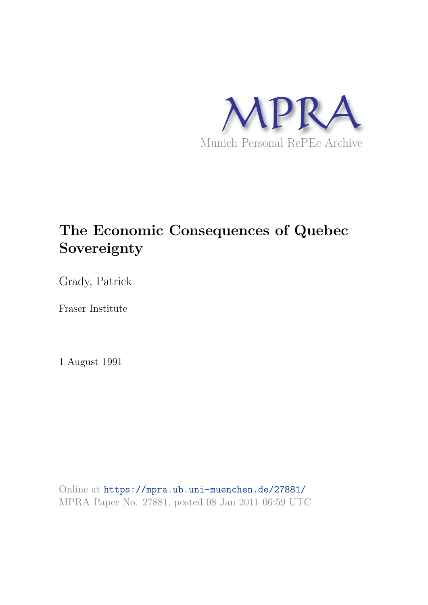

# **The Economic Consequences of Quebec Sovereignty**

Grady, Patrick

Fraser Institute

1 August 1991

Online at https://mpra.ub.uni-muenchen.de/27881/ MPRA Paper No. 27881, posted 08 Jan 2011 06:59 UTC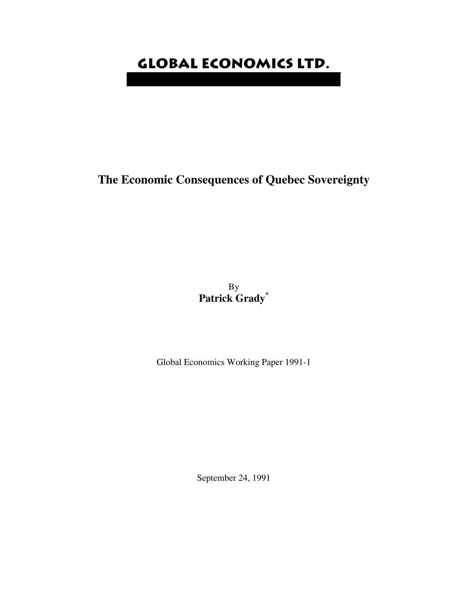# **Global Economics Ltd.**

# **The Economic Consequences of Quebec Sovereignty**

By **Patrick Grady\***

Global Economics Working Paper 1991-1

September 24, 1991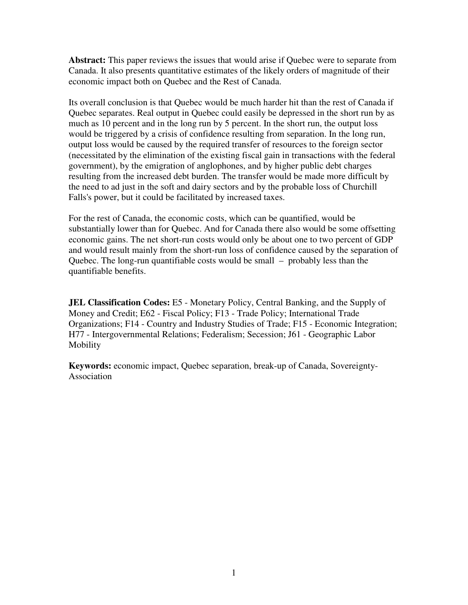**Abstract:** This paper reviews the issues that would arise if Quebec were to separate from Canada. It also presents quantitative estimates of the likely orders of magnitude of their economic impact both on Quebec and the Rest of Canada.

Its overall conclusion is that Quebec would be much harder hit than the rest of Canada if Quebec separates. Real output in Quebec could easily be depressed in the short run by as much as 10 percent and in the long run by 5 percent. In the short run, the output loss would be triggered by a crisis of confidence resulting from separation. In the long run, output loss would be caused by the required transfer of resources to the foreign sector (necessitated by the elimination of the existing fiscal gain in transactions with the federal government), by the emigration of anglophones, and by higher public debt charges resulting from the increased debt burden. The transfer would be made more difficult by the need to ad just in the soft and dairy sectors and by the probable loss of Churchill Falls's power, but it could be facilitated by increased taxes.

For the rest of Canada, the economic costs, which can be quantified, would be substantially lower than for Quebec. And for Canada there also would be some offsetting economic gains. The net short-run costs would only be about one to two percent of GDP and would result mainly from the short-run loss of confidence caused by the separation of Quebec. The long-run quantifiable costs would be small – probably less than the quantifiable benefits.

**JEL Classification Codes:** E5 - Monetary Policy, Central Banking, and the Supply of Money and Credit; E62 - Fiscal Policy; F13 - Trade Policy; International Trade Organizations; F14 - Country and Industry Studies of Trade; F15 - Economic Integration; H77 - Intergovernmental Relations; Federalism; Secession; J61 - Geographic Labor Mobility

**Keywords:** economic impact, Quebec separation, break-up of Canada, Sovereignty-Association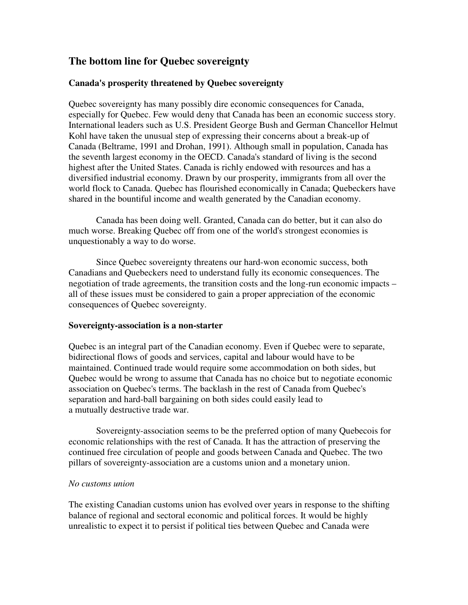# **The bottom line for Quebec sovereignty**

# **Canada's prosperity threatened by Quebec sovereignty**

Quebec sovereignty has many possibly dire economic consequences for Canada, especially for Quebec. Few would deny that Canada has been an economic success story. International leaders such as U.S. President George Bush and German Chancellor Helmut Kohl have taken the unusual step of expressing their concerns about a break-up of Canada (Beltrame, 1991 and Drohan, 1991). Although small in population, Canada has the seventh largest economy in the OECD. Canada's standard of living is the second highest after the United States. Canada is richly endowed with resources and has a diversified industrial economy. Drawn by our prosperity, immigrants from all over the world flock to Canada. Quebec has flourished economically in Canada; Quebeckers have shared in the bountiful income and wealth generated by the Canadian economy.

Canada has been doing well. Granted, Canada can do better, but it can also do much worse. Breaking Quebec off from one of the world's strongest economies is unquestionably a way to do worse.

Since Quebec sovereignty threatens our hard-won economic success, both Canadians and Quebeckers need to understand fully its economic consequences. The negotiation of trade agreements, the transition costs and the long-run economic impacts – all of these issues must be considered to gain a proper appreciation of the economic consequences of Quebec sovereignty.

# **Sovereignty-association is a non-starter**

Quebec is an integral part of the Canadian economy. Even if Quebec were to separate, bidirectional flows of goods and services, capital and labour would have to be maintained. Continued trade would require some accommodation on both sides, but Quebec would be wrong to assume that Canada has no choice but to negotiate economic association on Quebec's terms. The backlash in the rest of Canada from Quebec's separation and hard-ball bargaining on both sides could easily lead to a mutually destructive trade war.

Sovereignty-association seems to be the preferred option of many Quebecois for economic relationships with the rest of Canada. It has the attraction of preserving the continued free circulation of people and goods between Canada and Quebec. The two pillars of sovereignty-association are a customs union and a monetary union.

#### *No customs union*

The existing Canadian customs union has evolved over years in response to the shifting balance of regional and sectoral economic and political forces. It would be highly unrealistic to expect it to persist if political ties between Quebec and Canada were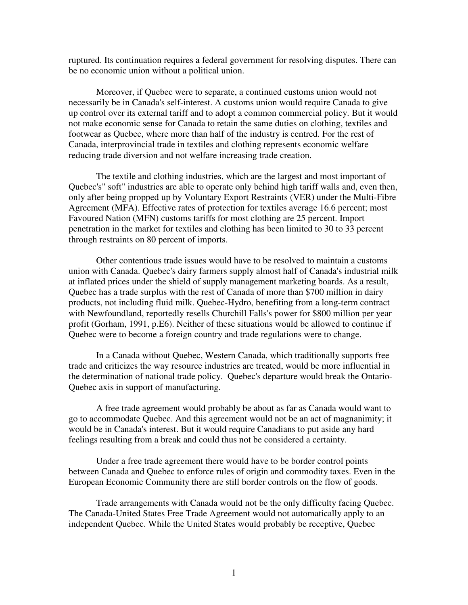ruptured. Its continuation requires a federal government for resolving disputes. There can be no economic union without a political union.

Moreover, if Quebec were to separate, a continued customs union would not necessarily be in Canada's self-interest. A customs union would require Canada to give up control over its external tariff and to adopt a common commercial policy. But it would not make economic sense for Canada to retain the same duties on clothing, textiles and footwear as Quebec, where more than half of the industry is centred. For the rest of Canada, interprovincial trade in textiles and clothing represents economic welfare reducing trade diversion and not welfare increasing trade creation.

The textile and clothing industries, which are the largest and most important of Quebec's" soft" industries are able to operate only behind high tariff walls and, even then, only after being propped up by Voluntary Export Restraints (VER) under the Multi-Fibre Agreement (MFA). Effective rates of protection for textiles average 16.6 percent; most Favoured Nation (MFN) customs tariffs for most clothing are 25 percent. Import penetration in the market for textiles and clothing has been limited to 30 to 33 percent through restraints on 80 percent of imports.

Other contentious trade issues would have to be resolved to maintain a customs union with Canada. Quebec's dairy farmers supply almost half of Canada's industrial milk at inflated prices under the shield of supply management marketing boards. As a result, Quebec has a trade surplus with the rest of Canada of more than \$700 million in dairy products, not including fluid milk. Quebec-Hydro, benefiting from a long-term contract with Newfoundland, reportedly resells Churchill Falls's power for \$800 million per year profit (Gorham, 1991, p.E6). Neither of these situations would be allowed to continue if Quebec were to become a foreign country and trade regulations were to change.

In a Canada without Quebec, Western Canada, which traditionally supports free trade and criticizes the way resource industries are treated, would be more influential in the determination of national trade policy. Quebec's departure would break the Ontario-Quebec axis in support of manufacturing.

A free trade agreement would probably be about as far as Canada would want to go to accommodate Quebec. And this agreement would not be an act of magnanimity; it would be in Canada's interest. But it would require Canadians to put aside any hard feelings resulting from a break and could thus not be considered a certainty.

Under a free trade agreement there would have to be border control points between Canada and Quebec to enforce rules of origin and commodity taxes. Even in the European Economic Community there are still border controls on the flow of goods.

Trade arrangements with Canada would not be the only difficulty facing Quebec. The Canada-United States Free Trade Agreement would not automatically apply to an independent Quebec. While the United States would probably be receptive, Quebec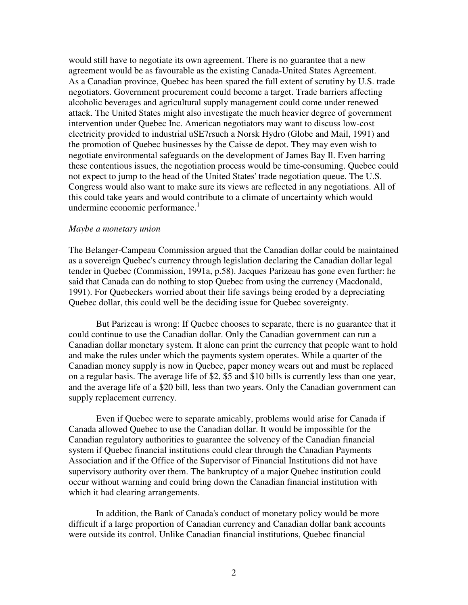would still have to negotiate its own agreement. There is no guarantee that a new agreement would be as favourable as the existing Canada-United States Agreement. As a Canadian province, Quebec has been spared the full extent of scrutiny by U.S. trade negotiators. Government procurement could become a target. Trade barriers affecting alcoholic beverages and agricultural supply management could come under renewed attack. The United States might also investigate the much heavier degree of government intervention under Quebec Inc. American negotiators may want to discuss low-cost electricity provided to industrial uSE7rsuch a Norsk Hydro (Globe and Mail, 1991) and the promotion of Quebec businesses by the Caisse de depot. They may even wish to negotiate environmental safeguards on the development of James Bay Il. Even barring these contentious issues, the negotiation process would be time-consuming. Quebec could not expect to jump to the head of the United States' trade negotiation queue. The U.S. Congress would also want to make sure its views are reflected in any negotiations. All of this could take years and would contribute to a climate of uncertainty which would undermine economic performance.<sup>1</sup>

#### *Maybe a monetary union*

The Belanger-Campeau Commission argued that the Canadian dollar could be maintained as a sovereign Quebec's currency through legislation declaring the Canadian dollar legal tender in Quebec (Commission, 1991a, p.58). Jacques Parizeau has gone even further: he said that Canada can do nothing to stop Quebec from using the currency (Macdonald, 1991). For Quebeckers worried about their life savings being eroded by a depreciating Quebec dollar, this could well be the deciding issue for Quebec sovereignty.

But Parizeau is wrong: If Quebec chooses to separate, there is no guarantee that it could continue to use the Canadian dollar. Only the Canadian government can run a Canadian dollar monetary system. It alone can print the currency that people want to hold and make the rules under which the payments system operates. While a quarter of the Canadian money supply is now in Quebec, paper money wears out and must be replaced on a regular basis. The average life of \$2, \$5 and \$10 bills is currently less than one year, and the average life of a \$20 bill, less than two years. Only the Canadian government can supply replacement currency.

Even if Quebec were to separate amicably, problems would arise for Canada if Canada allowed Quebec to use the Canadian dollar. It would be impossible for the Canadian regulatory authorities to guarantee the solvency of the Canadian financial system if Quebec financial institutions could clear through the Canadian Payments Association and if the Office of the Supervisor of Financial Institutions did not have supervisory authority over them. The bankruptcy of a major Quebec institution could occur without warning and could bring down the Canadian financial institution with which it had clearing arrangements.

In addition, the Bank of Canada's conduct of monetary policy would be more difficult if a large proportion of Canadian currency and Canadian dollar bank accounts were outside its control. Unlike Canadian financial institutions, Quebec financial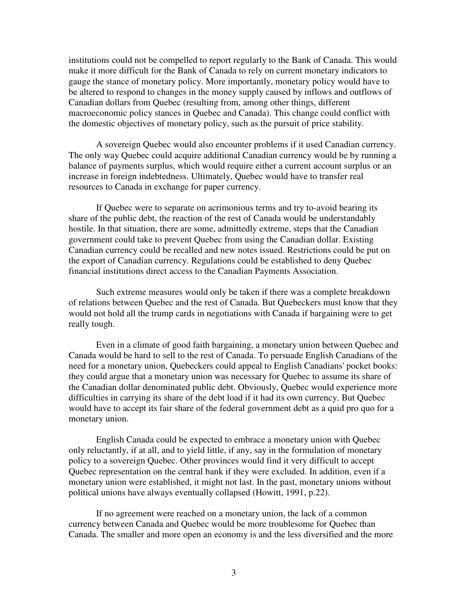institutions could not be compelled to report regularly to the Bank of Canada. This would make it more difficult for the Bank of Canada to rely on current monetary indicators to gauge the stance of monetary policy. More importantly, monetary policy would have to be altered to respond to changes in the money supply caused by inflows and outflows of Canadian dollars from Quebec (resulting from, among other things, different macroeconomic policy stances in Quebec and Canada). This change could conflict with the domestic objectives of monetary policy, such as the pursuit of price stability.

A sovereign Quebec would also encounter problems if it used Canadian currency. The only way Quebec could acquire additional Canadian currency would be by running a balance of payments surplus, which would require either a current account surplus or an increase in foreign indebtedness. Ultimately, Quebec would have to transfer real resources to Canada in exchange for paper currency.

If Quebec were to separate on acrimonious terms and try to-avoid bearing its share of the public debt, the reaction of the rest of Canada would be understandably hostile. In that situation, there are some, admittedly extreme, steps that the Canadian government could take to prevent Quebec from using the Canadian dollar. Existing Canadian currency could be recalled and new notes issued. Restrictions could be put on the export of Canadian currency. Regulations could be established to deny Quebec financial institutions direct access to the Canadian Payments Association.

Such extreme measures would only be taken if there was a complete breakdown of relations between Quebec and the rest of Canada. But Quebeckers must know that they would not hold all the trump cards in negotiations with Canada if bargaining were to get really tough.

Even in a climate of good faith bargaining, a monetary union between Quebec and Canada would be hard to sell to the rest of Canada. To persuade English Canadians of the need for a monetary union, Quebeckers could appeal to English Canadians' pocket books: they could argue that a monetary union was necessary for Quebec to assume its share of the Canadian dollar denominated public debt. Obviously, Quebec would experience more difficulties in carrying its share of the debt load if it had its own currency. But Quebec would have to accept its fair share of the federal government debt as a quid pro quo for a monetary union.

English Canada could be expected to embrace a monetary union with Quebec only reluctantly, if at all, and to yield little, if any, say in the formulation of monetary policy to a sovereign Quebec. Other provinces would find it very difficult to accept Quebec representation on the central bank if they were excluded. In addition, even if a monetary union were established, it might not last. In the past, monetary unions without political unions have always eventually collapsed (Howitt, 1991, p.22).

If no agreement were reached on a monetary union, the lack of a common currency between Canada and Quebec would be more troublesome for Quebec than Canada. The smaller and more open an economy is and the less diversified and the more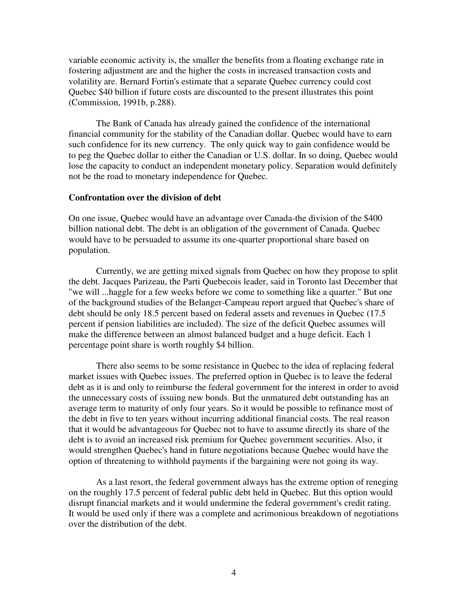variable economic activity is, the smaller the benefits from a floating exchange rate in fostering adjustment are and the higher the costs in increased transaction costs and volatility are. Bernard Fortin's estimate that a separate Quebec currency could cost Quebec \$40 billion if future costs are discounted to the present illustrates this point (Commission, 1991b, p.288).

The Bank of Canada has already gained the confidence of the international financial community for the stability of the Canadian dollar. Quebec would have to earn such confidence for its new currency. The only quick way to gain confidence would be to peg the Quebec dollar to either the Canadian or U.S. dollar. In so doing, Quebec would lose the capacity to conduct an independent monetary policy. Separation would definitely not be the road to monetary independence for Quebec.

#### **Confrontation over the division of debt**

On one issue, Quebec would have an advantage over Canada-the division of the \$400 billion national debt. The debt is an obligation of the government of Canada. Quebec would have to be persuaded to assume its one-quarter proportional share based on population.

Currently, we are getting mixed signals from Quebec on how they propose to split the debt. Jacques Parizeau, the Parti Quebecois leader, said in Toronto last December that "we will ...haggle for a few weeks before we come to something like a quarter." But one of the background studies of the Belanger-Campeau report argued that Quebec's share of debt should be only 18.5 percent based on federal assets and revenues in Quebec (17.5 percent if pension liabilities are included). The size of the deficit Quebec assumes will make the difference between an almost balanced budget and a huge deficit. Each 1 percentage point share is worth roughly \$4 billion.

There also seems to be some resistance in Quebec to the idea of replacing federal market issues with Quebec issues. The preferred option in Quebec is to leave the federal debt as it is and only to reimburse the federal government for the interest in order to avoid the unnecessary costs of issuing new bonds. But the unmatured debt outstanding has an average term to maturity of only four years. So it would be possible to refinance most of the debt in five to ten years without incurring additional financial costs. The real reason that it would be advantageous for Quebec not to have to assume directly its share of the debt is to avoid an increased risk premium for Quebec government securities. Also, it would strengthen Quebec's hand in future negotiations because Quebec would have the option of threatening to withhold payments if the bargaining were not going its way.

As a last resort, the federal government always has the extreme option of reneging on the roughly 17.5 percent of federal public debt held in Quebec. But this option would disrupt financial markets and it would undermine the federal government's credit rating. It would be used only if there was a complete and acrimonious breakdown of negotiations over the distribution of the debt.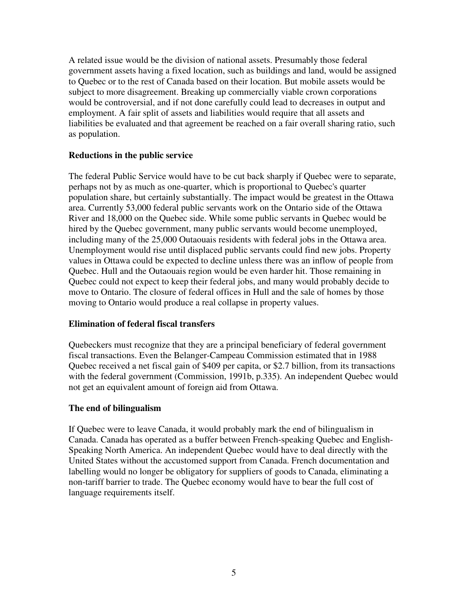A related issue would be the division of national assets. Presumably those federal government assets having a fixed location, such as buildings and land, would be assigned to Quebec or to the rest of Canada based on their location. But mobile assets would be subject to more disagreement. Breaking up commercially viable crown corporations would be controversial, and if not done carefully could lead to decreases in output and employment. A fair split of assets and liabilities would require that all assets and liabilities be evaluated and that agreement be reached on a fair overall sharing ratio, such as population.

# **Reductions in the public service**

The federal Public Service would have to be cut back sharply if Quebec were to separate, perhaps not by as much as one-quarter, which is proportional to Quebec's quarter population share, but certainly substantially. The impact would be greatest in the Ottawa area. Currently 53,000 federal public servants work on the Ontario side of the Ottawa River and 18,000 on the Quebec side. While some public servants in Quebec would be hired by the Quebec government, many public servants would become unemployed, including many of the 25,000 Outaouais residents with federal jobs in the Ottawa area. Unemployment would rise until displaced public servants could find new jobs. Property values in Ottawa could be expected to decline unless there was an inflow of people from Quebec. Hull and the Outaouais region would be even harder hit. Those remaining in Quebec could not expect to keep their federal jobs, and many would probably decide to move to Ontario. The closure of federal offices in Hull and the sale of homes by those moving to Ontario would produce a real collapse in property values.

# **Elimination of federal fiscal transfers**

Quebeckers must recognize that they are a principal beneficiary of federal government fiscal transactions. Even the Belanger-Campeau Commission estimated that in 1988 Quebec received a net fiscal gain of \$409 per capita, or \$2.7 billion, from its transactions with the federal government (Commission, 1991b, p.335). An independent Quebec would not get an equivalent amount of foreign aid from Ottawa.

# **The end of bilingualism**

If Quebec were to leave Canada, it would probably mark the end of bilingualism in Canada. Canada has operated as a buffer between French-speaking Quebec and English-Speaking North America. An independent Quebec would have to deal directly with the United States without the accustomed support from Canada. French documentation and labelling would no longer be obligatory for suppliers of goods to Canada, eliminating a non-tariff barrier to trade. The Quebec economy would have to bear the full cost of language requirements itself.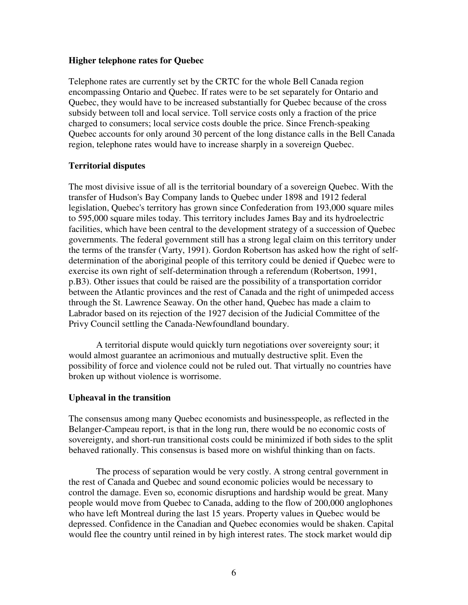#### **Higher telephone rates for Quebec**

Telephone rates are currently set by the CRTC for the whole Bell Canada region encompassing Ontario and Quebec. If rates were to be set separately for Ontario and Quebec, they would have to be increased substantially for Quebec because of the cross subsidy between toll and local service. Toll service costs only a fraction of the price charged to consumers; local service costs double the price. Since French-speaking Quebec accounts for only around 30 percent of the long distance calls in the Bell Canada region, telephone rates would have to increase sharply in a sovereign Quebec.

# **Territorial disputes**

The most divisive issue of all is the territorial boundary of a sovereign Quebec. With the transfer of Hudson's Bay Company lands to Quebec under 1898 and 1912 federal legislation, Quebec's territory has grown since Confederation from 193,000 square miles to 595,000 square miles today. This territory includes James Bay and its hydroelectric facilities, which have been central to the development strategy of a succession of Quebec governments. The federal government still has a strong legal claim on this territory under the terms of the transfer (Varty, 1991). Gordon Robertson has asked how the right of selfdetermination of the aboriginal people of this territory could be denied if Quebec were to exercise its own right of self-determination through a referendum (Robertson, 1991, p.B3). Other issues that could be raised are the possibility of a transportation corridor between the Atlantic provinces and the rest of Canada and the right of unimpeded access through the St. Lawrence Seaway. On the other hand, Quebec has made a claim to Labrador based on its rejection of the 1927 decision of the Judicial Committee of the Privy Council settling the Canada-Newfoundland boundary.

A territorial dispute would quickly turn negotiations over sovereignty sour; it would almost guarantee an acrimonious and mutually destructive split. Even the possibility of force and violence could not be ruled out. That virtually no countries have broken up without violence is worrisome.

# **Upheaval in the transition**

The consensus among many Quebec economists and businesspeople, as reflected in the Belanger-Campeau report, is that in the long run, there would be no economic costs of sovereignty, and short-run transitional costs could be minimized if both sides to the split behaved rationally. This consensus is based more on wishful thinking than on facts.

The process of separation would be very costly. A strong central government in the rest of Canada and Quebec and sound economic policies would be necessary to control the damage. Even so, economic disruptions and hardship would be great. Many people would move from Quebec to Canada, adding to the flow of 200,000 anglophones who have left Montreal during the last 15 years. Property values in Quebec would be depressed. Confidence in the Canadian and Quebec economies would be shaken. Capital would flee the country until reined in by high interest rates. The stock market would dip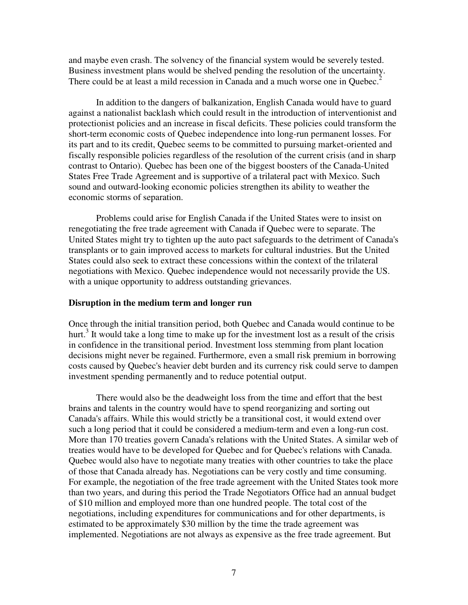and maybe even crash. The solvency of the financial system would be severely tested. Business investment plans would be shelved pending the resolution of the uncertainty. There could be at least a mild recession in Canada and a much worse one in Quebec.<sup>2</sup>

In addition to the dangers of balkanization, English Canada would have to guard against a nationalist backlash which could result in the introduction of interventionist and protectionist policies and an increase in fiscal deficits. These policies could transform the short-term economic costs of Quebec independence into long-run permanent losses. For its part and to its credit, Quebec seems to be committed to pursuing market-oriented and fiscally responsible policies regardless of the resolution of the current crisis (and in sharp contrast to Ontario). Quebec has been one of the biggest boosters of the Canada-United States Free Trade Agreement and is supportive of a trilateral pact with Mexico. Such sound and outward-looking economic policies strengthen its ability to weather the economic storms of separation.

Problems could arise for English Canada if the United States were to insist on renegotiating the free trade agreement with Canada if Quebec were to separate. The United States might try to tighten up the auto pact safeguards to the detriment of Canada's transplants or to gain improved access to markets for cultural industries. But the United States could also seek to extract these concessions within the context of the trilateral negotiations with Mexico. Quebec independence would not necessarily provide the US. with a unique opportunity to address outstanding grievances.

#### **Disruption in the medium term and longer run**

Once through the initial transition period, both Quebec and Canada would continue to be hurt.<sup>3</sup> It would take a long time to make up for the investment lost as a result of the crisis in confidence in the transitional period. Investment loss stemming from plant location decisions might never be regained. Furthermore, even a small risk premium in borrowing costs caused by Quebec's heavier debt burden and its currency risk could serve to dampen investment spending permanently and to reduce potential output.

There would also be the deadweight loss from the time and effort that the best brains and talents in the country would have to spend reorganizing and sorting out Canada's affairs. While this would strictly be a transitional cost, it would extend over such a long period that it could be considered a medium-term and even a long-run cost. More than 170 treaties govern Canada's relations with the United States. A similar web of treaties would have to be developed for Quebec and for Quebec's relations with Canada. Quebec would also have to negotiate many treaties with other countries to take the place of those that Canada already has. Negotiations can be very costly and time consuming. For example, the negotiation of the free trade agreement with the United States took more than two years, and during this period the Trade Negotiators Office had an annual budget of \$10 million and employed more than one hundred people. The total cost of the negotiations, including expenditures for communications and for other departments, is estimated to be approximately \$30 million by the time the trade agreement was implemented. Negotiations are not always as expensive as the free trade agreement. But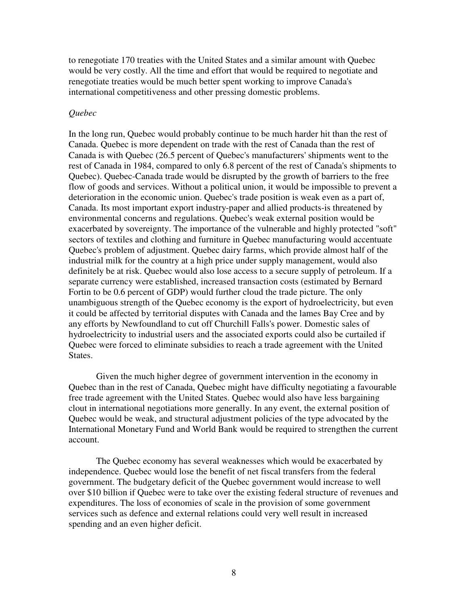to renegotiate 170 treaties with the United States and a similar amount with Quebec would be very costly. All the time and effort that would be required to negotiate and renegotiate treaties would be much better spent working to improve Canada's international competitiveness and other pressing domestic problems.

#### *Quebec*

In the long run, Quebec would probably continue to be much harder hit than the rest of Canada. Quebec is more dependent on trade with the rest of Canada than the rest of Canada is with Quebec (26.5 percent of Quebec's manufacturers' shipments went to the rest of Canada in 1984, compared to only 6.8 percent of the rest of Canada's shipments to Quebec). Quebec-Canada trade would be disrupted by the growth of barriers to the free flow of goods and services. Without a political union, it would be impossible to prevent a deterioration in the economic union. Quebec's trade position is weak even as a part of, Canada. Its most important export industry-paper and allied products-is threatened by environmental concerns and regulations. Quebec's weak external position would be exacerbated by sovereignty. The importance of the vulnerable and highly protected "soft" sectors of textiles and clothing and furniture in Quebec manufacturing would accentuate Quebec's problem of adjustment. Quebec dairy farms, which provide almost half of the industrial milk for the country at a high price under supply management, would also definitely be at risk. Quebec would also lose access to a secure supply of petroleum. If a separate currency were established, increased transaction costs (estimated by Bernard Fortin to be 0.6 percent of GDP) would further cloud the trade picture. The only unambiguous strength of the Quebec economy is the export of hydroelectricity, but even it could be affected by territorial disputes with Canada and the lames Bay Cree and by any efforts by Newfoundland to cut off Churchill Falls's power. Domestic sales of hydroelectricity to industrial users and the associated exports could also be curtailed if Quebec were forced to eliminate subsidies to reach a trade agreement with the United States.

Given the much higher degree of government intervention in the economy in Quebec than in the rest of Canada, Quebec might have difficulty negotiating a favourable free trade agreement with the United States. Quebec would also have less bargaining clout in international negotiations more generally. In any event, the external position of Quebec would be weak, and structural adjustment policies of the type advocated by the International Monetary Fund and World Bank would be required to strengthen the current account.

The Quebec economy has several weaknesses which would be exacerbated by independence. Quebec would lose the benefit of net fiscal transfers from the federal government. The budgetary deficit of the Quebec government would increase to well over \$10 billion if Quebec were to take over the existing federal structure of revenues and expenditures. The loss of economies of scale in the provision of some government services such as defence and external relations could very well result in increased spending and an even higher deficit.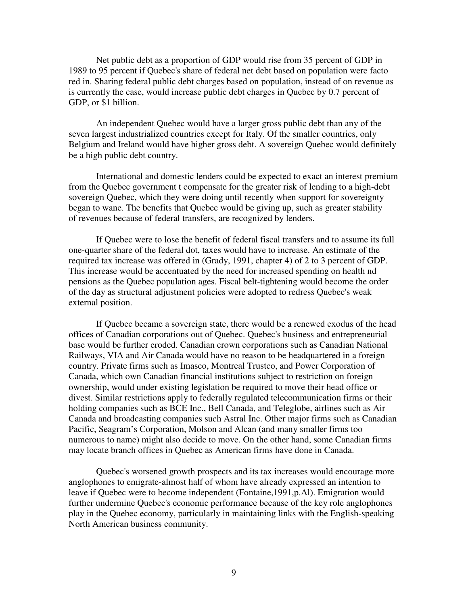Net public debt as a proportion of GDP would rise from 35 percent of GDP in 1989 to 95 percent if Quebec's share of federal net debt based on population were facto red in. Sharing federal public debt charges based on population, instead of on revenue as is currently the case, would increase public debt charges in Quebec by 0.7 percent of GDP, or \$1 billion.

An independent Quebec would have a larger gross public debt than any of the seven largest industrialized countries except for Italy. Of the smaller countries, only Belgium and Ireland would have higher gross debt. A sovereign Quebec would definitely be a high public debt country.

International and domestic lenders could be expected to exact an interest premium from the Quebec government t compensate for the greater risk of lending to a high-debt sovereign Quebec, which they were doing until recently when support for sovereignty began to wane. The benefits that Quebec would be giving up, such as greater stability of revenues because of federal transfers, are recognized by lenders.

If Quebec were to lose the benefit of federal fiscal transfers and to assume its full one-quarter share of the federal dot, taxes would have to increase. An estimate of the required tax increase was offered in (Grady, 1991, chapter 4) of 2 to 3 percent of GDP. This increase would be accentuated by the need for increased spending on health nd pensions as the Quebec population ages. Fiscal belt-tightening would become the order of the day as structural adjustment policies were adopted to redress Quebec's weak external position.

If Quebec became a sovereign state, there would be a renewed exodus of the head offices of Canadian corporations out of Quebec. Quebec's business and entrepreneurial base would be further eroded. Canadian crown corporations such as Canadian National Railways, VIA and Air Canada would have no reason to be headquartered in a foreign country. Private firms such as Imasco, Montreal Trustco, and Power Corporation of Canada, which own Canadian financial institutions subject to restriction on foreign ownership, would under existing legislation be required to move their head office or divest. Similar restrictions apply to federally regulated telecommunication firms or their holding companies such as BCE Inc., Bell Canada, and Teleglobe, airlines such as Air Canada and broadcasting companies such Astral Inc. Other major firms such as Canadian Pacific, Seagram's Corporation, Molson and Alcan (and many smaller firms too numerous to name) might also decide to move. On the other hand, some Canadian firms may locate branch offices in Quebec as American firms have done in Canada.

Quebec's worsened growth prospects and its tax increases would encourage more anglophones to emigrate-almost half of whom have already expressed an intention to leave if Quebec were to become independent (Fontaine,1991,p.Al). Emigration would further undermine Quebec's economic performance because of the key role anglophones play in the Quebec economy, particularly in maintaining links with the English-speaking North American business community.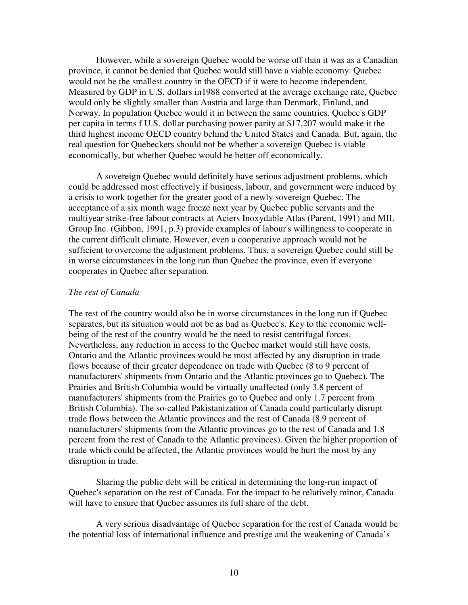However, while a sovereign Quebec would be worse off than it was as a Canadian province, it cannot be denied that Quebec would still have a viable economy. Quebec would not be the smallest country in the OECD if it were to become independent. Measured by GDP in U.S. dollars in1988 converted at the average exchange rate, Quebec would only be slightly smaller than Austria and large than Denmark, Finland, and Norway. In population Quebec would it in between the same countries. Quebec's GDP per capita in terms f U.S. dollar purchasing power parity at \$17,207 would make it the third highest income OECD country behind the United States and Canada. But, again, the real question for Quebeckers should not be whether a sovereign Quebec is viable economically, but whether Quebec would be better off economically.

A sovereign Quebec would definitely have serious adjustment problems, which could be addressed most effectively if business, labour, and government were induced by a crisis to work together for the greater good of a newly sovereign Quebec. The acceptance of a six month wage freeze next year by Quebec public servants and the multiyear strike-free labour contracts at Aciers Inoxydable Atlas (Parent, 1991) and MIL Group Inc. (Gibbon, 1991, p.3) provide examples of labour's willingness to cooperate in the current difficult climate. However, even a cooperative approach would not be sufficient to overcome the adjustment problems. Thus, a sovereign Quebec could still be in worse circumstances in the long run than Quebec the province, even if everyone cooperates in Quebec after separation.

#### *The rest of Canada*

The rest of the country would also be in worse circumstances in the long run if Quebec separates, but its situation would not be as bad as Quebec's. Key to the economic wellbeing of the rest of the country would be the need to resist centrifugal forces. Nevertheless, any reduction in access to the Quebec market would still have costs. Ontario and the Atlantic provinces would be most affected by any disruption in trade flows because of their greater dependence on trade with Quebec (8 to 9 percent of manufacturers' shipments from Ontario and the Atlantic provinces go to Quebec). The Prairies and British Columbia would be virtually unaffected (only 3.8 percent of manufacturers' shipments from the Prairies go to Quebec and only 1.7 percent from British Columbia). The so-called Pakistanization of Canada could particularly disrupt trade flows between the Atlantic provinces and the rest of Canada (8.9 percent of manufacturers' shipments from the Atlantic provinces go to the rest of Canada and 1.8 percent from the rest of Canada to the Atlantic provinces). Given the higher proportion of trade which could be affected, the Atlantic provinces would be hurt the most by any disruption in trade.

Sharing the public debt will be critical in determining the long-run impact of Quebec's separation on the rest of Canada. For the impact to be relatively minor, Canada will have to ensure that Quebec assumes its full share of the debt.

A very serious disadvantage of Quebec separation for the rest of Canada would be the potential loss of international influence and prestige and the weakening of Canada's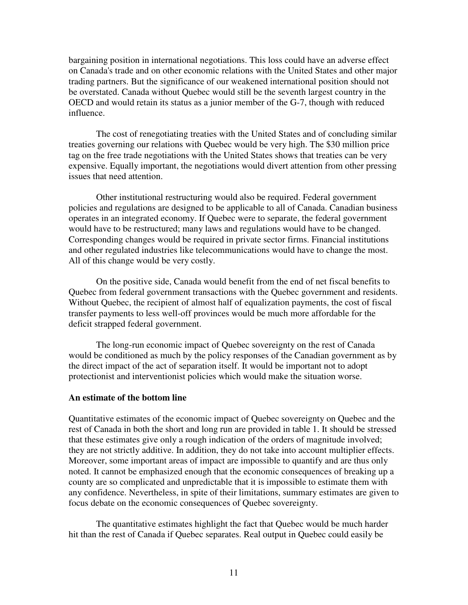bargaining position in international negotiations. This loss could have an adverse effect on Canada's trade and on other economic relations with the United States and other major trading partners. But the significance of our weakened international position should not be overstated. Canada without Quebec would still be the seventh largest country in the OECD and would retain its status as a junior member of the G-7, though with reduced influence.

The cost of renegotiating treaties with the United States and of concluding similar treaties governing our relations with Quebec would be very high. The \$30 million price tag on the free trade negotiations with the United States shows that treaties can be very expensive. Equally important, the negotiations would divert attention from other pressing issues that need attention.

Other institutional restructuring would also be required. Federal government policies and regulations are designed to be applicable to all of Canada. Canadian business operates in an integrated economy. If Quebec were to separate, the federal government would have to be restructured; many laws and regulations would have to be changed. Corresponding changes would be required in private sector firms. Financial institutions and other regulated industries like telecommunications would have to change the most. All of this change would be very costly.

On the positive side, Canada would benefit from the end of net fiscal benefits to Quebec from federal government transactions with the Quebec government and residents. Without Quebec, the recipient of almost half of equalization payments, the cost of fiscal transfer payments to less well-off provinces would be much more affordable for the deficit strapped federal government.

The long-run economic impact of Quebec sovereignty on the rest of Canada would be conditioned as much by the policy responses of the Canadian government as by the direct impact of the act of separation itself. It would be important not to adopt protectionist and interventionist policies which would make the situation worse.

#### **An estimate of the bottom line**

Quantitative estimates of the economic impact of Quebec sovereignty on Quebec and the rest of Canada in both the short and long run are provided in table 1. It should be stressed that these estimates give only a rough indication of the orders of magnitude involved; they are not strictly additive. In addition, they do not take into account multiplier effects. Moreover, some important areas of impact are impossible to quantify and are thus only noted. It cannot be emphasized enough that the economic consequences of breaking up a county are so complicated and unpredictable that it is impossible to estimate them with any confidence. Nevertheless, in spite of their limitations, summary estimates are given to focus debate on the economic consequences of Quebec sovereignty.

The quantitative estimates highlight the fact that Quebec would be much harder hit than the rest of Canada if Quebec separates. Real output in Quebec could easily be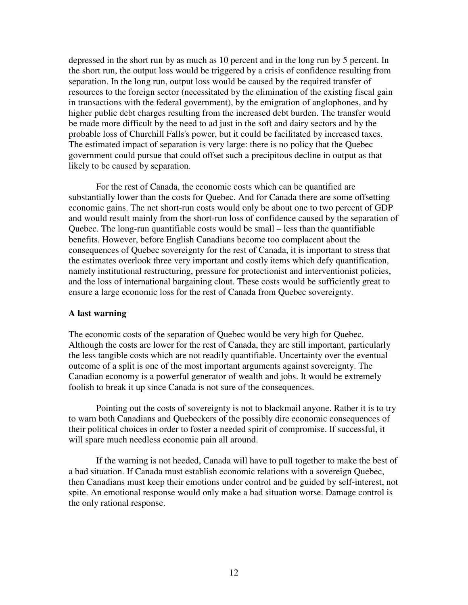depressed in the short run by as much as 10 percent and in the long run by 5 percent. In the short run, the output loss would be triggered by a crisis of confidence resulting from separation. In the long run, output loss would be caused by the required transfer of resources to the foreign sector (necessitated by the elimination of the existing fiscal gain in transactions with the federal government), by the emigration of anglophones, and by higher public debt charges resulting from the increased debt burden. The transfer would be made more difficult by the need to ad just in the soft and dairy sectors and by the probable loss of Churchill Falls's power, but it could be facilitated by increased taxes. The estimated impact of separation is very large: there is no policy that the Quebec government could pursue that could offset such a precipitous decline in output as that likely to be caused by separation.

For the rest of Canada, the economic costs which can be quantified are substantially lower than the costs for Quebec. And for Canada there are some offsetting economic gains. The net short-run costs would only be about one to two percent of GDP and would result mainly from the short-run loss of confidence caused by the separation of Quebec. The long-run quantifiable costs would be small – less than the quantifiable benefits. However, before English Canadians become too complacent about the consequences of Quebec sovereignty for the rest of Canada, it is important to stress that the estimates overlook three very important and costly items which defy quantification, namely institutional restructuring, pressure for protectionist and interventionist policies, and the loss of international bargaining clout. These costs would be sufficiently great to ensure a large economic loss for the rest of Canada from Quebec sovereignty.

#### **A last warning**

The economic costs of the separation of Quebec would be very high for Quebec. Although the costs are lower for the rest of Canada, they are still important, particularly the less tangible costs which are not readily quantifiable. Uncertainty over the eventual outcome of a split is one of the most important arguments against sovereignty. The Canadian economy is a powerful generator of wealth and jobs. It would be extremely foolish to break it up since Canada is not sure of the consequences.

Pointing out the costs of sovereignty is not to blackmail anyone. Rather it is to try to warn both Canadians and Quebeckers of the possibly dire economic consequences of their political choices in order to foster a needed spirit of compromise. If successful, it will spare much needless economic pain all around.

If the warning is not heeded, Canada will have to pull together to make the best of a bad situation. If Canada must establish economic relations with a sovereign Quebec, then Canadians must keep their emotions under control and be guided by self-interest, not spite. An emotional response would only make a bad situation worse. Damage control is the only rational response.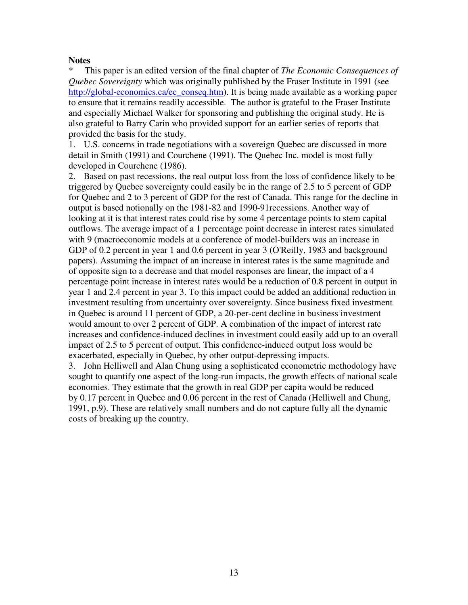# **Notes**

\* This paper is an edited version of the final chapter of *The Economic Consequences of Quebec Sovereignty* which was originally published by the Fraser Institute in 1991 (see http://global-economics.ca/ec\_conseq.htm). It is being made available as a working paper to ensure that it remains readily accessible. The author is grateful to the Fraser Institute and especially Michael Walker for sponsoring and publishing the original study. He is also grateful to Barry Carin who provided support for an earlier series of reports that provided the basis for the study.

1. U.S. concerns in trade negotiations with a sovereign Quebec are discussed in more detail in Smith (1991) and Courchene (1991). The Quebec Inc. model is most fully developed in Courchene (1986).

2. Based on past recessions, the real output loss from the loss of confidence likely to be triggered by Quebec sovereignty could easily be in the range of 2.5 to 5 percent of GDP for Quebec and 2 to 3 percent of GDP for the rest of Canada. This range for the decline in output is based notionally on the 1981-82 and 1990-91recessions. Another way of looking at it is that interest rates could rise by some 4 percentage points to stem capital outflows. The average impact of a 1 percentage point decrease in interest rates simulated with 9 (macroeconomic models at a conference of model-builders was an increase in GDP of 0.2 percent in year 1 and 0.6 percent in year 3 (O'Reilly, 1983 and background papers). Assuming the impact of an increase in interest rates is the same magnitude and of opposite sign to a decrease and that model responses are linear, the impact of a 4 percentage point increase in interest rates would be a reduction of 0.8 percent in output in year 1 and 2.4 percent in year 3. To this impact could be added an additional reduction in investment resulting from uncertainty over sovereignty. Since business fixed investment in Quebec is around 11 percent of GDP, a 20-per-cent decline in business investment would amount to over 2 percent of GDP. A combination of the impact of interest rate increases and confidence-induced declines in investment could easily add up to an overall impact of 2.5 to 5 percent of output. This confidence-induced output loss would be exacerbated, especially in Quebec, by other output-depressing impacts.

3. John Helliwell and Alan Chung using a sophisticated econometric methodology have sought to quantify one aspect of the long-run impacts, the growth effects of national scale economies. They estimate that the growth in real GDP per capita would be reduced by 0.17 percent in Quebec and 0.06 percent in the rest of Canada (Helliwell and Chung, 1991, p.9). These are relatively small numbers and do not capture fully all the dynamic costs of breaking up the country.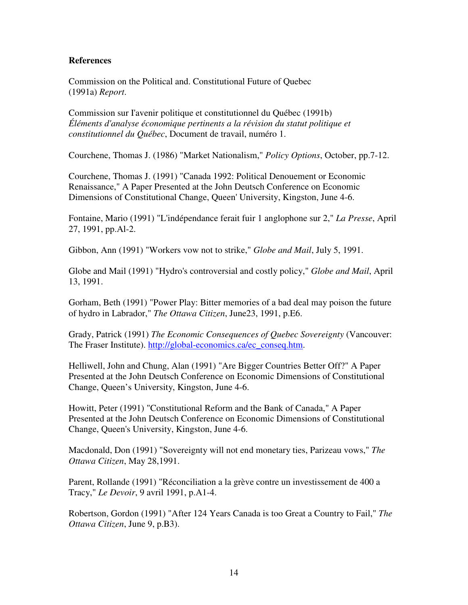# **References**

Commission on the Political and. Constitutional Future of Quebec (1991a) *Report*.

Commission sur I'avenir politique et constitutionnel du Québec (1991b) *Éléments d'analyse économique pertinents a la révision du statut politique et constitutionnel du Québec*, Document de travail, numéro 1.

Courchene, Thomas J. (1986) "Market Nationalism," *Policy Options*, October, pp.7-12.

Courchene, Thomas J. (1991) "Canada 1992: Political Denouement or Economic Renaissance," A Paper Presented at the John Deutsch Conference on Economic Dimensions of Constitutional Change, Queen' University, Kingston, June 4-6.

Fontaine, Mario (1991) "L'indépendance ferait fuir 1 anglophone sur 2," *La Presse*, April 27, 1991, pp.Al-2.

Gibbon, Ann (1991) "Workers vow not to strike," *Globe and Mail*, July 5, 1991.

Globe and Mail (1991) "Hydro's controversial and costly policy," *Globe and Mail*, April 13, 1991.

Gorham, Beth (1991) "Power Play: Bitter memories of a bad deal may poison the future of hydro in Labrador," *The Ottawa Citizen*, June23, 1991, p.E6.

Grady, Patrick (1991) *The Economic Consequences of Quebec Sovereignty* (Vancouver: The Fraser Institute). http://global-economics.ca/ec\_conseq.htm.

Helliwell, John and Chung, Alan (1991) "Are Bigger Countries Better Off?" A Paper Presented at the John Deutsch Conference on Economic Dimensions of Constitutional Change, Queen's University, Kingston, June 4-6.

Howitt, Peter (1991) "Constitutional Reform and the Bank of Canada," A Paper Presented at the John Deutsch Conference on Economic Dimensions of Constitutional Change, Queen's University, Kingston, June 4-6.

Macdonald, Don (1991) "Sovereignty will not end monetary ties, Parizeau vows," *The Ottawa Citizen*, May 28,1991.

Parent, Rollande (1991) "Réconciliation a la grève contre un investissement de 400 a Tracy," *Le Devoir*, 9 avril 1991, p.A1-4.

Robertson, Gordon (1991) "After 124 Years Canada is too Great a Country to Fail," *The Ottawa Citizen*, June 9, p.B3).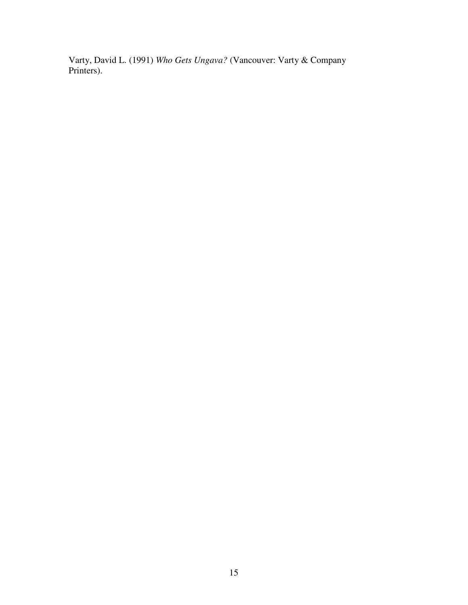Varty, David L. (1991) *Who Gets Ungava?* (Vancouver: Varty & Company Printers).